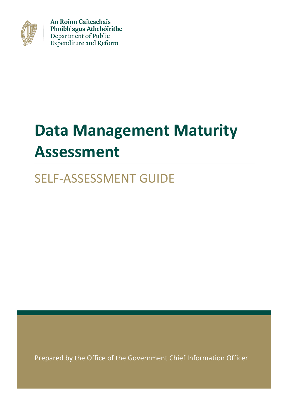

An Roinn Caiteachais Phoiblí agus Athchóirithe Department of Public Expenditure and Reform

# **Data Management Maturity Assessment**

# SELF-ASSESSMENT GUIDE

Prepared by the Office of the Government Chief Information Officer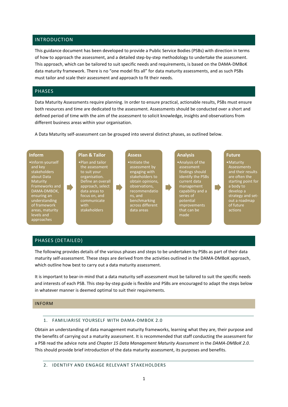# INTRODUCTION

This guidance document has been developed to provide a Public Service Bodies (PSBs) with direction in terms of how to approach the assessment, and a detailed step-by-step methodology to undertake the assessment. This approach, which can be tailored to suit specific needs and requirements, is based on the DAMA-DMBoK data maturity framework. There is no "one model fits all" for data maturity assessments, and as such PSBs must tailor and scale their assessment and approach to fit their needs.

# PHASES

Data Maturity Assessments require planning. In order to ensure practical, actionable results, PSBs must ensure both resources and time are dedicated to the assessment. Assessments should be conducted over a short and defined period of time with the aim of the assessment to solicit knowledge, insights and observations from different business areas within your organisation.

A Data Maturity self-assessment can be grouped into several distinct phases, as outlined below.

#### **Inform**

•Inform yourself and key stakeholders about Data Maturity Frameworks and DAMA-DMBOK, ensuring an understanding of framework areas, maturity levels and approaches

**Plan & Tailor** •Plan and tailor the assessment to suit your organisation. Define an overall approach, select data areas to focus on, and communicate with stakeholders

#### **Assess**

D

•Initiate the assessment by engaging with stakeholders to obtain opinions, observations, recommendatio ns, and benchmarking across different data areas

 $\blacksquare$ 

# **Analysis**

•Analysis of the assessment findings should identify the PSBs current data management capability and a series of potential improvements that can be made

# **Future**

 $\blacksquare$ 

•Maturity Assessments and their results are often the starting point for a body to develop a strategy and setout a roadmap of future actions

# PHASES (DETAILED)

Г

The following provides details of the various phases and steps to be undertaken by PSBs as part of their data maturity self-assessment. These steps are derived from the activities outlined in the DAMA-DMBoK approach, which outline how best to carry out a data maturity assessment.

It is important to bear-in-mind that a data maturity self-assessment must be tailored to suit the specific needs and interests of each PSB. This step-by-step guide is flexible and PSBs are encouraged to adapt the steps below in whatever manner is deemed optimal to suit their requirements.

#### INFORM

#### 1. FAMILIARISE YOURSELF WITH DAMA-DMBOK 2.0

Obtain an understanding of data management maturity frameworks, learning what they are, their purpose and the benefits of carrying out a maturity assessment. It is recommended that staff conducting the assessment for a PSB read the advice note and *Chapter 15 Data Management Maturity Assessment* in the *DAMA-DMBoK 2.0.* This should provide brief introduction of the data maturity assessment, its purposes and benefits.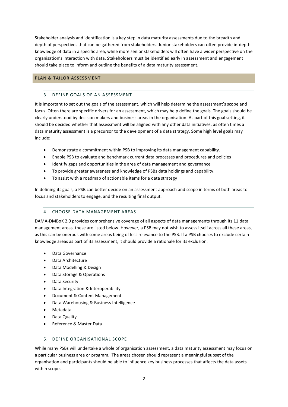Stakeholder analysis and identification is a key step in data maturity assessments due to the breadth and depth of perspectives that can be gathered from stakeholders. Junior stakeholders can often provide in-depth knowledge of data in a specific area, while more senior stakeholders will often have a wider perspective on the organisation's interaction with data. Stakeholders must be identified early in assessment and engagement should take place to inform and outline the benefits of a data maturity assessment.

# PLAN & TAILOR ASSESSMENT

# 3. DEFINE GOALS OF AN ASSESSMENT

It is important to set out the goals of the assessment, which will help determine the assessment's scope and focus. Often there are specific drivers for an assessment, which may help define the goals. The goals should be clearly understood by decision makers and business areas in the organisation. As part of this goal setting, it should be decided whether that assessment will be aligned with any other data initiatives, as often times a data maturity assessment is a precursor to the development of a data strategy. Some high level goals may include:

- Demonstrate a commitment within PSB to improving its data management capability.
- Enable PSB to evaluate and benchmark current data processes and procedures and policies
- Identify gaps and opportunities in the area of data management and governance
- To provide greater awareness and knowledge of PSBs data holdings and capability.
- To assist with a roadmap of actionable items for a data strategy

In defining its goals, a PSB can better decide on an assessment approach and scope in terms of both areas to focus and stakeholders to engage, and the resulting final output.

# 4. CHOOSE DATA MANAGEMENT AREAS

DAMA-DMBoK 2.0 provides comprehensive coverage of all aspects of data managements through its 11 data management areas, these are listed below. However, a PSB may not wish to assess itself across all these areas, as this can be onerous with some areas being of less relevance to the PSB. If a PSB chooses to exclude certain knowledge areas as part of its assessment, it should provide a rationale for its exclusion.

- Data Governance
- Data Architecture
- Data Modelling & Design
- Data Storage & Operations
- Data Security
- Data Integration & Interoperability
- Document & Content Management
- Data Warehousing & Business Intelligence
- Metadata
- Data Quality
- Reference & Master Data

# 5. DEFINE ORGANISATIONAL SCOPE

While many PSBs will undertake a whole of organisation assessment, a data maturity assessment may focus on a particular business area or program. The areas chosen should represent a meaningful subset of the organisation and participants should be able to influence key business processes that affects the data assets within scope.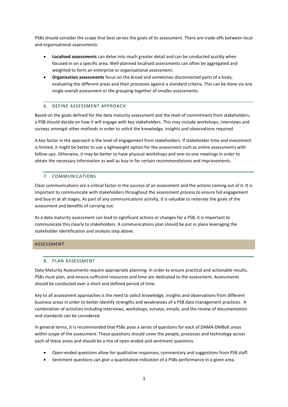PSBs should consider the scope that best serves the goals of its assessment. There are trade-offs between local and organisational assessments:

- **Localised assessments** can delve into much greater detail and can be conducted quickly when focused in on a specific area. Well-planned localised assessments can often be aggregated and weighted to form an enterprise or organisational assessment.
- **Organisation assessments** focus on the broad and sometimes disconnected parts of a body, evaluating the different areas and their processes against a standard criteria. This can be done via one single overall assessment or the grouping together of smaller assessments.

# 6. DEFINE ASSESSMENT APPROACH

Based on the goals defined for the data maturity assessment and the level of commitment from stakeholders, a PSB should decide on how it will engage with key stakeholders. This may include workshops, interviews and surveys amongst other methods in order to solicit the knowledge, insights and observations required.

A key factor in the approach is the level of engagement from stakeholders. If stakeholder time and investment is limited, it might be better to use a lightweight option for the assessment such as online assessments with follow-ups. Otherwise, it may be better to have physical workshops and one-to-one meetings in order to obtain the necessary information as well as buy-in for certain recommendations and improvements.

# 7. COMMUNICATIONS

Clear communications are a critical factor in the success of an assessment and the actions coming out of it. It is important to communicate with stakeholders throughout the assessment process to ensure full engagement and buy-in at all stages. As part of any communications activity, it is valuable to reiterate the goals of the assessment and benefits of carrying out.

As a data maturity assessment can lead to significant actions or changes for a PSB, it is important to communicate this clearly to stakeholders. A communications plan should be put in place leveraging the stakeholder identification and analysis step above.

# ASSESSMENT

# 8. PLAN ASSESSMENT

Data Maturity Assessments require appropriate planning. In order to ensure practical and actionable results, PSBs must plan, and ensure sufficient resources and time are dedicated to the assessment. Assessments should be conducted over a short and defined period of time.

Key to all assessment approaches is the need to solicit knowledge, insights and observations from different business areas in order to better identify strengths and weaknesses of a PSB data management practices. A combination of activities including interviews, workshops, surveys, emails, and the review of documentation and standards can be considered.

In general terms, it is recommended that PSBs pose a series of questions for each of DAMA-DMBoK areas within scope of the assessment. These questions should cover the people, processes and technology across each of these areas and should be a mix of open-ended and sentiment questions.

- Open-ended questions allow for qualitative responses, commentary and suggestions from PSB staff.
- Sentiment questions can give a quantitative indication of a PSBs performance in a given area.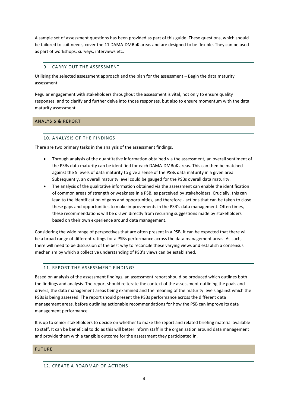A sample set of assessment questions has been provided as part of this guide. These questions, which should be tailored to suit needs, cover the 11 DAMA-DMBoK areas and are designed to be flexible. They can be used as part of workshops, surveys, interviews etc.

# 9. CARRY OUT THE ASSESSMENT

Utilising the selected assessment approach and the plan for the assessment – Begin the data maturity assessment.

Regular engagement with stakeholders throughout the assessment is vital, not only to ensure quality responses, and to clarify and further delve into those responses, but also to ensure momentum with the data maturity assessment.

# ANALYSIS & REPORT

# 10. ANALYSIS OF THE FINDINGS

There are two primary tasks in the analysis of the assessment findings.

- Through analysis of the quantitative information obtained via the assessment, an overall sentiment of the PSBs data maturity can be identified for each DAMA-DMBoK areas. This can then be matched against the 5 levels of data maturity to give a sense of the PSBs data maturity in a given area. Subsequently, an overall maturity level could be gauged for the PSBs overall data maturity.
- The analysis of the qualitative information obtained via the assessment can enable the identification of common areas of strength or weakness in a PSB, as perceived by stakeholders. Crucially, this can lead to the identification of gaps and opportunities, and therefore - actions that can be taken to close these gaps and opportunities to make improvements in the PSB's data management. Often times, these recommendations will be drawn directly from recurring suggestions made by stakeholders based on their own experience around data management.

Considering the wide range of perspectives that are often present in a PSB, it can be expected that there will be a broad range of different ratings for a PSBs performance across the data management areas. As such, there will need to be discussion of the best way to reconcile these varying views and establish a consensus mechanism by which a collective understanding of PSB's views can be established.

# 11. REPORT THE ASSESSMENT FINDINGS

Based on analysis of the assessment findings, an assessment report should be produced which outlines both the findings and analysis. The report should reiterate the context of the assessment outlining the goals and drivers, the data management areas being examined and the meaning of the maturity levels against which the PSBs is being assessed. The report should present the PSBs performance across the different data management areas, before outlining actionable recommendations for how the PSB can improve its data management performance.

It is up to senior stakeholders to decide on whether to make the report and related briefing material available to staff. It can be beneficial to do as this will better inform staff in the organisation around data management and provide them with a tangible outcome for the assessment they participated in.

# FUTURE

# 12. CREATE A ROADMAP OF ACTIONS